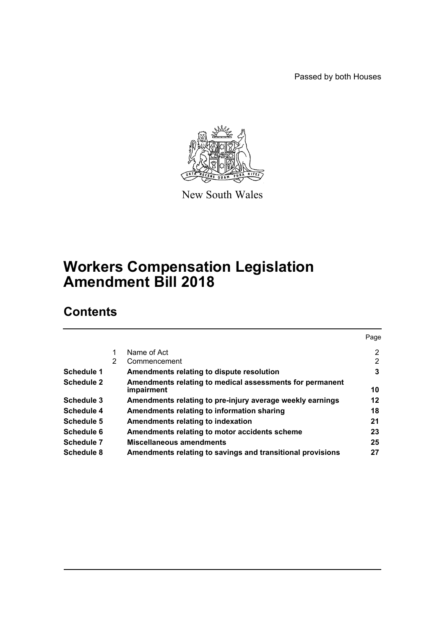Passed by both Houses



New South Wales

# **Workers Compensation Legislation Amendment Bill 2018**

# **Contents**

|   |                                                            | Page           |
|---|------------------------------------------------------------|----------------|
| 1 | Name of Act                                                | $\overline{2}$ |
| 2 | Commencement                                               | 2              |
|   | Amendments relating to dispute resolution                  | 3              |
|   | Amendments relating to medical assessments for permanent   |                |
|   | impairment                                                 | 10             |
|   | Amendments relating to pre-injury average weekly earnings  | 12             |
|   | Amendments relating to information sharing                 | 18             |
|   | Amendments relating to indexation                          | 21             |
|   | Amendments relating to motor accidents scheme              | 23             |
|   | Miscellaneous amendments                                   | 25             |
|   | Amendments relating to savings and transitional provisions | 27             |
|   |                                                            |                |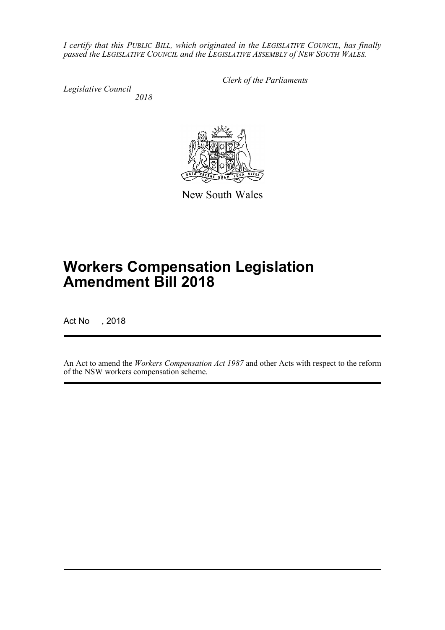*I certify that this PUBLIC BILL, which originated in the LEGISLATIVE COUNCIL, has finally passed the LEGISLATIVE COUNCIL and the LEGISLATIVE ASSEMBLY of NEW SOUTH WALES.*

*Legislative Council*

*Clerk of the Parliaments*

 *2018*



New South Wales

# **Workers Compensation Legislation Amendment Bill 2018**

Act No , 2018

An Act to amend the *Workers Compensation Act 1987* and other Acts with respect to the reform of the NSW workers compensation scheme.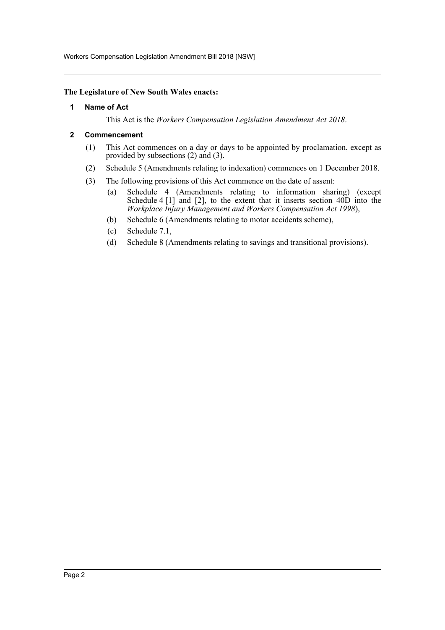Workers Compensation Legislation Amendment Bill 2018 [NSW]

### <span id="page-2-0"></span>**The Legislature of New South Wales enacts:**

### **1 Name of Act**

This Act is the *Workers Compensation Legislation Amendment Act 2018*.

### <span id="page-2-1"></span>**2 Commencement**

- (1) This Act commences on a day or days to be appointed by proclamation, except as provided by subsections (2) and (3).
- (2) Schedule 5 (Amendments relating to indexation) commences on 1 December 2018.
- (3) The following provisions of this Act commence on the date of assent:
	- (a) Schedule 4 (Amendments relating to information sharing) (except Schedule 4  $[1]$  and  $[2]$ , to the extent that it inserts section  $40D$  into the *Workplace Injury Management and Workers Compensation Act 1998*),
	- (b) Schedule 6 (Amendments relating to motor accidents scheme),
	- (c) Schedule 7.1,
	- (d) Schedule 8 (Amendments relating to savings and transitional provisions).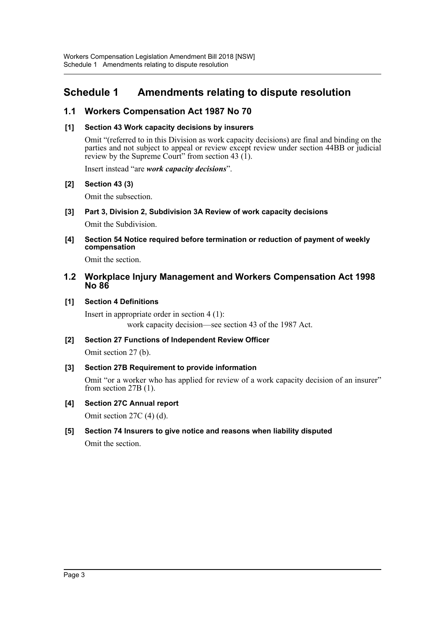# <span id="page-3-0"></span>**Schedule 1 Amendments relating to dispute resolution**

# **1.1 Workers Compensation Act 1987 No 70**

### **[1] Section 43 Work capacity decisions by insurers**

Omit "(referred to in this Division as work capacity decisions) are final and binding on the parties and not subject to appeal or review except review under section 44BB or judicial review by the Supreme Court" from section 43  $(1)$ .

Insert instead "are *work capacity decisions*".

### **[2] Section 43 (3)**

Omit the subsection.

**[3] Part 3, Division 2, Subdivision 3A Review of work capacity decisions**

Omit the Subdivision.

**[4] Section 54 Notice required before termination or reduction of payment of weekly compensation**

Omit the section.

### **1.2 Workplace Injury Management and Workers Compensation Act 1998 No 86**

### **[1] Section 4 Definitions**

Insert in appropriate order in section 4 (1): work capacity decision—see section 43 of the 1987 Act.

**[2] Section 27 Functions of Independent Review Officer** Omit section 27 (b).

### **[3] Section 27B Requirement to provide information**

Omit "or a worker who has applied for review of a work capacity decision of an insurer" from section 27B (1).

**[4] Section 27C Annual report**

Omit section 27C (4) (d).

**[5] Section 74 Insurers to give notice and reasons when liability disputed**

Omit the section.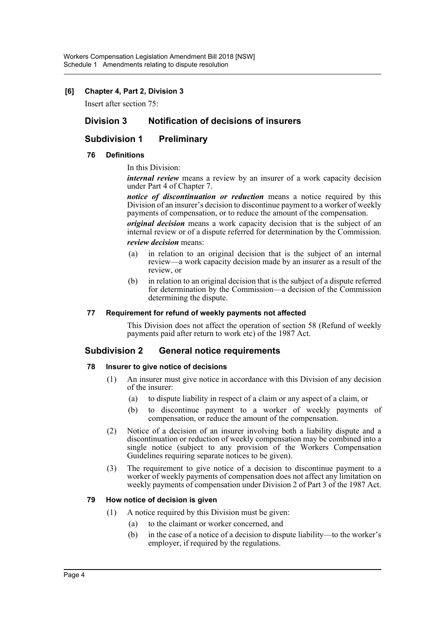### **[6] Chapter 4, Part 2, Division 3**

Insert after section 75:

### **Division 3 Notification of decisions of insurers**

## **Subdivision 1 Preliminary**

### **76 Definitions**

### In this Division:

*internal review* means a review by an insurer of a work capacity decision under Part 4 of Chapter 7.

*notice of discontinuation or reduction* means a notice required by this Division of an insurer's decision to discontinue payment to a worker of weekly payments of compensation, or to reduce the amount of the compensation.

*original decision* means a work capacity decision that is the subject of an internal review or of a dispute referred for determination by the Commission.

### *review decision* means:

- (a) in relation to an original decision that is the subject of an internal review—a work capacity decision made by an insurer as a result of the review, or
- (b) in relation to an original decision that is the subject of a dispute referred for determination by the Commission—a decision of the Commission determining the dispute.

### **77 Requirement for refund of weekly payments not affected**

This Division does not affect the operation of section 58 (Refund of weekly payments paid after return to work etc) of the 1987 Act.

### **Subdivision 2 General notice requirements**

#### **78 Insurer to give notice of decisions**

- (1) An insurer must give notice in accordance with this Division of any decision of the insurer:
	- (a) to dispute liability in respect of a claim or any aspect of a claim, or
	- (b) to discontinue payment to a worker of weekly payments of compensation, or reduce the amount of the compensation.
- (2) Notice of a decision of an insurer involving both a liability dispute and a discontinuation or reduction of weekly compensation may be combined into a single notice (subject to any provision of the Workers Compensation Guidelines requiring separate notices to be given).
- (3) The requirement to give notice of a decision to discontinue payment to a worker of weekly payments of compensation does not affect any limitation on weekly payments of compensation under Division 2 of Part 3 of the 1987 Act.

### **79 How notice of decision is given**

- (1) A notice required by this Division must be given:
	- (a) to the claimant or worker concerned, and
	- (b) in the case of a notice of a decision to dispute liability—to the worker's employer, if required by the regulations.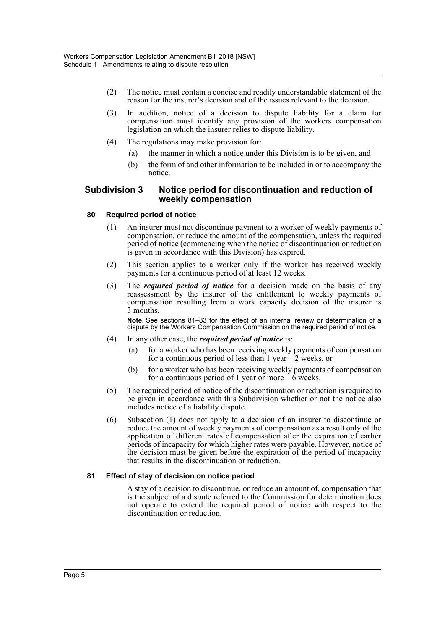- (2) The notice must contain a concise and readily understandable statement of the reason for the insurer's decision and of the issues relevant to the decision.
- (3) In addition, notice of a decision to dispute liability for a claim for compensation must identify any provision of the workers compensation legislation on which the insurer relies to dispute liability.
- (4) The regulations may make provision for:
	- (a) the manner in which a notice under this Division is to be given, and
	- (b) the form of and other information to be included in or to accompany the notice.

### **Subdivision 3 Notice period for discontinuation and reduction of weekly compensation**

### **80 Required period of notice**

- (1) An insurer must not discontinue payment to a worker of weekly payments of compensation, or reduce the amount of the compensation, unless the required period of notice (commencing when the notice of discontinuation or reduction is given in accordance with this Division) has expired.
- (2) This section applies to a worker only if the worker has received weekly payments for a continuous period of at least 12 weeks.
- (3) The *required period of notice* for a decision made on the basis of any reassessment by the insurer of the entitlement to weekly payments of compensation resulting from a work capacity decision of the insurer is 3 months.

**Note.** See sections 81–83 for the effect of an internal review or determination of a dispute by the Workers Compensation Commission on the required period of notice.

- (4) In any other case, the *required period of notice* is:
	- (a) for a worker who has been receiving weekly payments of compensation for a continuous period of less than 1 year—2 weeks, or
	- (b) for a worker who has been receiving weekly payments of compensation for a continuous period of 1 year or more—6 weeks.
- (5) The required period of notice of the discontinuation or reduction is required to be given in accordance with this Subdivision whether or not the notice also includes notice of a liability dispute.
- (6) Subsection (1) does not apply to a decision of an insurer to discontinue or reduce the amount of weekly payments of compensation as a result only of the application of different rates of compensation after the expiration of earlier periods of incapacity for which higher rates were payable. However, notice of the decision must be given before the expiration of the period of incapacity that results in the discontinuation or reduction.

### **81 Effect of stay of decision on notice period**

A stay of a decision to discontinue, or reduce an amount of, compensation that is the subject of a dispute referred to the Commission for determination does not operate to extend the required period of notice with respect to the discontinuation or reduction.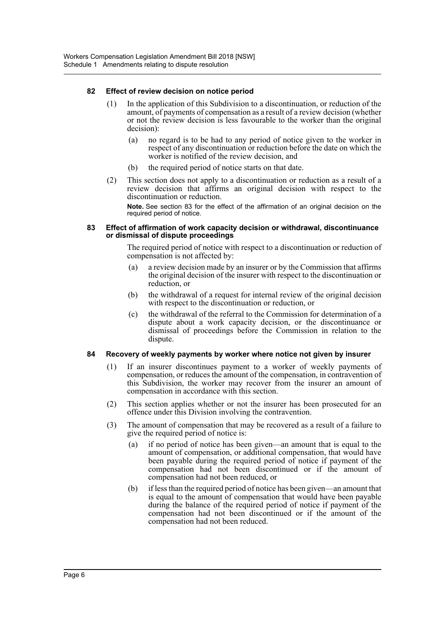### **82 Effect of review decision on notice period**

- (1) In the application of this Subdivision to a discontinuation, or reduction of the amount, of payments of compensation as a result of a review decision (whether or not the review decision is less favourable to the worker than the original decision):
	- (a) no regard is to be had to any period of notice given to the worker in respect of any discontinuation or reduction before the date on which the worker is notified of the review decision, and
	- (b) the required period of notice starts on that date.
- (2) This section does not apply to a discontinuation or reduction as a result of a review decision that affirms an original decision with respect to the discontinuation or reduction.

**Note.** See section 83 for the effect of the affirmation of an original decision on the required period of notice.

#### **83 Effect of affirmation of work capacity decision or withdrawal, discontinuance or dismissal of dispute proceedings**

The required period of notice with respect to a discontinuation or reduction of compensation is not affected by:

- (a) a review decision made by an insurer or by the Commission that affirms the original decision of the insurer with respect to the discontinuation or reduction, or
- (b) the withdrawal of a request for internal review of the original decision with respect to the discontinuation or reduction, or
- (c) the withdrawal of the referral to the Commission for determination of a dispute about a work capacity decision, or the discontinuance or dismissal of proceedings before the Commission in relation to the dispute.

### **84 Recovery of weekly payments by worker where notice not given by insurer**

- (1) If an insurer discontinues payment to a worker of weekly payments of compensation, or reduces the amount of the compensation, in contravention of this Subdivision, the worker may recover from the insurer an amount of compensation in accordance with this section.
- (2) This section applies whether or not the insurer has been prosecuted for an offence under this Division involving the contravention.
- (3) The amount of compensation that may be recovered as a result of a failure to give the required period of notice is:
	- (a) if no period of notice has been given—an amount that is equal to the amount of compensation, or additional compensation, that would have been payable during the required period of notice if payment of the compensation had not been discontinued or if the amount of compensation had not been reduced, or
	- (b) if less than the required period of notice has been given—an amount that is equal to the amount of compensation that would have been payable during the balance of the required period of notice if payment of the compensation had not been discontinued or if the amount of the compensation had not been reduced.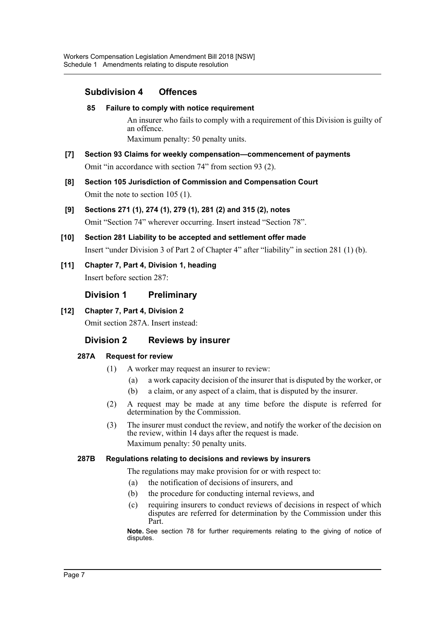# **Subdivision 4 Offences**

### **85 Failure to comply with notice requirement**

An insurer who fails to comply with a requirement of this Division is guilty of an offence.

Maximum penalty: 50 penalty units.

- **[7] Section 93 Claims for weekly compensation—commencement of payments** Omit "in accordance with section 74" from section 93 (2).
- **[8] Section 105 Jurisdiction of Commission and Compensation Court** Omit the note to section 105 (1).
- **[9] Sections 271 (1), 274 (1), 279 (1), 281 (2) and 315 (2), notes** Omit "Section 74" wherever occurring. Insert instead "Section 78".
- **[10] Section 281 Liability to be accepted and settlement offer made** Insert "under Division 3 of Part 2 of Chapter 4" after "liability" in section 281 (1) (b).
- **[11] Chapter 7, Part 4, Division 1, heading** Insert before section 287:

### **Division 1 Preliminary**

### **[12] Chapter 7, Part 4, Division 2**

Omit section 287A. Insert instead:

# **Division 2 Reviews by insurer**

### **287A Request for review**

- (1) A worker may request an insurer to review:
	- (a) a work capacity decision of the insurer that is disputed by the worker, or
	- (b) a claim, or any aspect of a claim, that is disputed by the insurer.
- (2) A request may be made at any time before the dispute is referred for determination by the Commission.
- (3) The insurer must conduct the review, and notify the worker of the decision on the review, within 14 days after the request is made. Maximum penalty: 50 penalty units.

### **287B Regulations relating to decisions and reviews by insurers**

The regulations may make provision for or with respect to:

- (a) the notification of decisions of insurers, and
- (b) the procedure for conducting internal reviews, and
- (c) requiring insurers to conduct reviews of decisions in respect of which disputes are referred for determination by the Commission under this Part.

**Note.** See section 78 for further requirements relating to the giving of notice of disputes.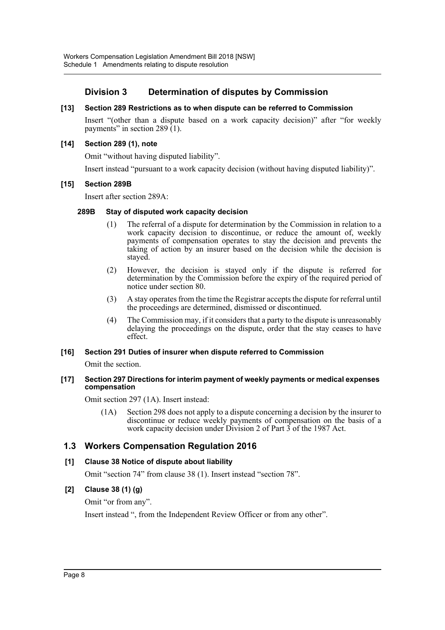# **Division 3 Determination of disputes by Commission**

### **[13] Section 289 Restrictions as to when dispute can be referred to Commission**

Insert "(other than a dispute based on a work capacity decision)" after "for weekly payments" in section 289  $(1)$ .

### **[14] Section 289 (1), note**

Omit "without having disputed liability".

Insert instead "pursuant to a work capacity decision (without having disputed liability)".

### **[15] Section 289B**

Insert after section 289A:

### **289B Stay of disputed work capacity decision**

- (1) The referral of a dispute for determination by the Commission in relation to a work capacity decision to discontinue, or reduce the amount of, weekly payments of compensation operates to stay the decision and prevents the taking of action by an insurer based on the decision while the decision is stayed.
- (2) However, the decision is stayed only if the dispute is referred for determination by the Commission before the expiry of the required period of notice under section 80.
- (3) A stay operates from the time the Registrar accepts the dispute for referral until the proceedings are determined, dismissed or discontinued.
- (4) The Commission may, if it considers that a party to the dispute is unreasonably delaying the proceedings on the dispute, order that the stay ceases to have effect.

### **[16] Section 291 Duties of insurer when dispute referred to Commission**

Omit the section.

#### **[17] Section 297 Directions for interim payment of weekly payments or medical expenses compensation**

Omit section 297 (1A). Insert instead:

(1A) Section 298 does not apply to a dispute concerning a decision by the insurer to discontinue or reduce weekly payments of compensation on the basis of a work capacity decision under Division 2 of Part 3 of the 1987 Act.

### **1.3 Workers Compensation Regulation 2016**

### **[1] Clause 38 Notice of dispute about liability**

Omit "section 74" from clause 38 (1). Insert instead "section 78".

### **[2] Clause 38 (1) (g)**

Omit "or from any".

Insert instead ", from the Independent Review Officer or from any other".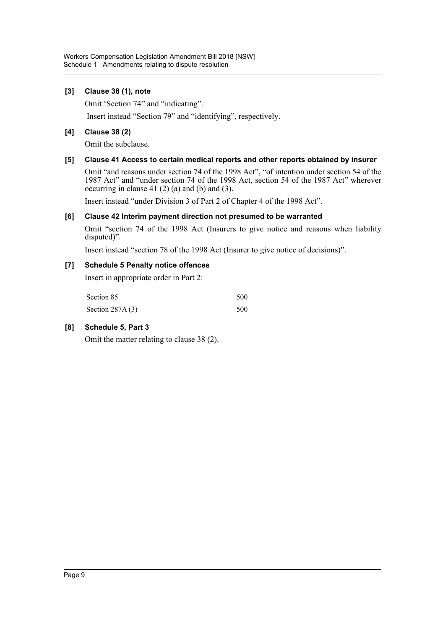### **[3] Clause 38 (1), note**

Omit 'Section 74" and "indicating".

Insert instead "Section 79" and "identifying", respectively.

### **[4] Clause 38 (2)**

Omit the subclause.

### **[5] Clause 41 Access to certain medical reports and other reports obtained by insurer**

Omit "and reasons under section 74 of the 1998 Act", "of intention under section 54 of the 1987 Act" and "under section 74 of the 1998 Act, section 54 of the 1987 Act" wherever occurring in clause 41 $(2)$  $(a)$  and  $(b)$  and  $(3)$ .

Insert instead "under Division 3 of Part 2 of Chapter 4 of the 1998 Act".

### **[6] Clause 42 Interim payment direction not presumed to be warranted**

Omit "section 74 of the 1998 Act (Insurers to give notice and reasons when liability disputed)".

Insert instead "section 78 of the 1998 Act (Insurer to give notice of decisions)".

### **[7] Schedule 5 Penalty notice offences**

Insert in appropriate order in Part 2:

| Section 85        | 500 |
|-------------------|-----|
| Section $287A(3)$ | 500 |

### **[8] Schedule 5, Part 3**

Omit the matter relating to clause 38 (2).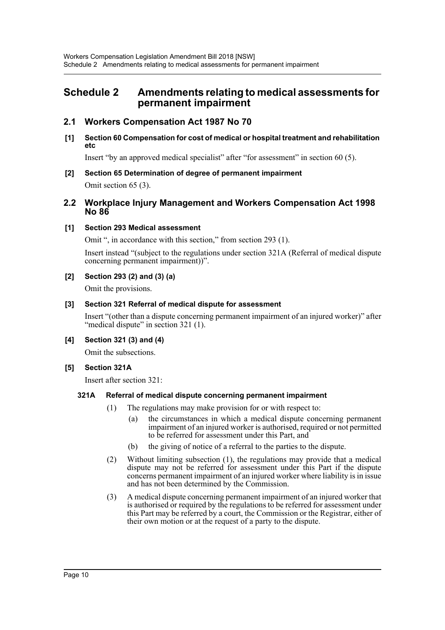# <span id="page-10-0"></span>**Schedule 2 Amendments relating to medical assessments for permanent impairment**

# **2.1 Workers Compensation Act 1987 No 70**

**[1] Section 60 Compensation for cost of medical or hospital treatment and rehabilitation etc**

Insert "by an approved medical specialist" after "for assessment" in section 60 (5).

**[2] Section 65 Determination of degree of permanent impairment** Omit section 65 (3).

### **2.2 Workplace Injury Management and Workers Compensation Act 1998 No 86**

### **[1] Section 293 Medical assessment**

Omit ", in accordance with this section," from section 293 (1).

Insert instead "(subject to the regulations under section 321A (Referral of medical dispute concerning permanent impairment))".

### **[2] Section 293 (2) and (3) (a)**

Omit the provisions.

### **[3] Section 321 Referral of medical dispute for assessment**

Insert "(other than a dispute concerning permanent impairment of an injured worker)" after "medical dispute" in section 321 (1).

### **[4] Section 321 (3) and (4)**

Omit the subsections.

### **[5] Section 321A**

Insert after section 321:

### **321A Referral of medical dispute concerning permanent impairment**

- (1) The regulations may make provision for or with respect to:
	- (a) the circumstances in which a medical dispute concerning permanent impairment of an injured worker is authorised, required or not permitted to be referred for assessment under this Part, and
	- (b) the giving of notice of a referral to the parties to the dispute.
- (2) Without limiting subsection (1), the regulations may provide that a medical dispute may not be referred for assessment under this Part if the dispute concerns permanent impairment of an injured worker where liability is in issue and has not been determined by the Commission.
- (3) A medical dispute concerning permanent impairment of an injured worker that is authorised or required by the regulations to be referred for assessment under this Part may be referred by a court, the Commission or the Registrar, either of their own motion or at the request of a party to the dispute.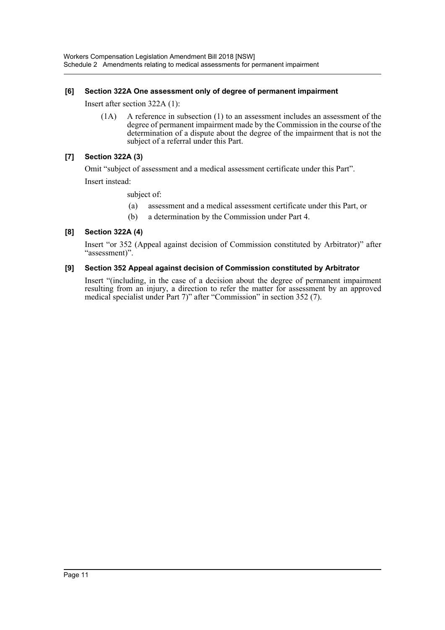### **[6] Section 322A One assessment only of degree of permanent impairment**

Insert after section 322A (1):

(1A) A reference in subsection (1) to an assessment includes an assessment of the degree of permanent impairment made by the Commission in the course of the determination of a dispute about the degree of the impairment that is not the subject of a referral under this Part.

### **[7] Section 322A (3)**

Omit "subject of assessment and a medical assessment certificate under this Part".

Insert instead:

subject of:

- (a) assessment and a medical assessment certificate under this Part, or
- (b) a determination by the Commission under Part 4.

### **[8] Section 322A (4)**

Insert "or 352 (Appeal against decision of Commission constituted by Arbitrator)" after "assessment)".

### **[9] Section 352 Appeal against decision of Commission constituted by Arbitrator**

Insert "(including, in the case of a decision about the degree of permanent impairment resulting from an injury, a direction to refer the matter for assessment by an approved medical specialist under Part 7)" after "Commission" in section 352 (7).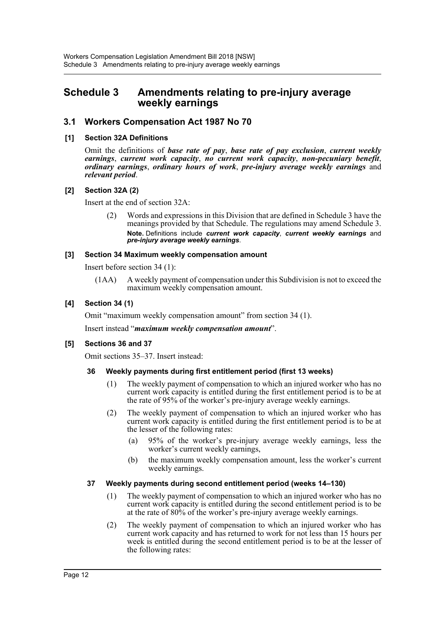# <span id="page-12-0"></span>**Schedule 3 Amendments relating to pre-injury average weekly earnings**

# **3.1 Workers Compensation Act 1987 No 70**

### **[1] Section 32A Definitions**

Omit the definitions of *base rate of pay*, *base rate of pay exclusion*, *current weekly earnings*, *current work capacity*, *no current work capacity*, *non-pecuniary benefit*, *ordinary earnings*, *ordinary hours of work*, *pre-injury average weekly earnings* and *relevant period*.

### **[2] Section 32A (2)**

Insert at the end of section 32A:

(2) Words and expressions in this Division that are defined in Schedule 3 have the meanings provided by that Schedule. The regulations may amend Schedule 3. **Note.** Definitions include *current work capacity*, *current weekly earnings* and *pre-injury average weekly earnings*.

### **[3] Section 34 Maximum weekly compensation amount**

Insert before section 34 (1):

(1AA) A weekly payment of compensation under this Subdivision is not to exceed the maximum weekly compensation amount.

### **[4] Section 34 (1)**

Omit "maximum weekly compensation amount" from section 34 (1).

Insert instead "*maximum weekly compensation amount*".

### **[5] Sections 36 and 37**

Omit sections 35–37. Insert instead:

### **36 Weekly payments during first entitlement period (first 13 weeks)**

- (1) The weekly payment of compensation to which an injured worker who has no current work capacity is entitled during the first entitlement period is to be at the rate of 95% of the worker's pre-injury average weekly earnings.
- (2) The weekly payment of compensation to which an injured worker who has current work capacity is entitled during the first entitlement period is to be at the lesser of the following rates:
	- (a) 95% of the worker's pre-injury average weekly earnings, less the worker's current weekly earnings,
	- (b) the maximum weekly compensation amount, less the worker's current weekly earnings.

### **37 Weekly payments during second entitlement period (weeks 14–130)**

- (1) The weekly payment of compensation to which an injured worker who has no current work capacity is entitled during the second entitlement period is to be at the rate of 80% of the worker's pre-injury average weekly earnings.
- (2) The weekly payment of compensation to which an injured worker who has current work capacity and has returned to work for not less than 15 hours per week is entitled during the second entitlement period is to be at the lesser of the following rates: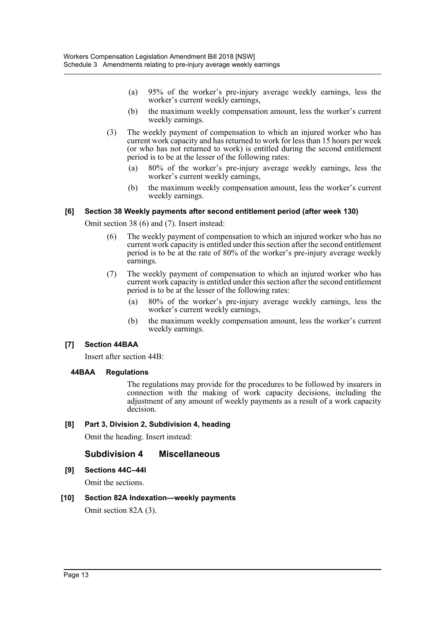- (a) 95% of the worker's pre-injury average weekly earnings, less the worker's current weekly earnings,
- (b) the maximum weekly compensation amount, less the worker's current weekly earnings.
- (3) The weekly payment of compensation to which an injured worker who has current work capacity and has returned to work for less than 15 hours per week (or who has not returned to work) is entitled during the second entitlement period is to be at the lesser of the following rates:
	- (a) 80% of the worker's pre-injury average weekly earnings, less the worker's current weekly earnings,
	- (b) the maximum weekly compensation amount, less the worker's current weekly earnings.

### **[6] Section 38 Weekly payments after second entitlement period (after week 130)**

Omit section 38 (6) and (7). Insert instead:

- (6) The weekly payment of compensation to which an injured worker who has no current work capacity is entitled under this section after the second entitlement period is to be at the rate of 80% of the worker's pre-injury average weekly earnings.
- (7) The weekly payment of compensation to which an injured worker who has current work capacity is entitled under this section after the second entitlement period is to be at the lesser of the following rates:
	- (a) 80% of the worker's pre-injury average weekly earnings, less the worker's current weekly earnings,
	- (b) the maximum weekly compensation amount, less the worker's current weekly earnings.

### **[7] Section 44BAA**

Insert after section 44B:

### **44BAA Regulations**

The regulations may provide for the procedures to be followed by insurers in connection with the making of work capacity decisions, including the adjustment of any amount of weekly payments as a result of a work capacity decision.

### **[8] Part 3, Division 2, Subdivision 4, heading**

Omit the heading. Insert instead:

### **Subdivision 4 Miscellaneous**

**[9] Sections 44C–44I** 

Omit the sections.

### **[10] Section 82A Indexation—weekly payments**

Omit section 82A (3).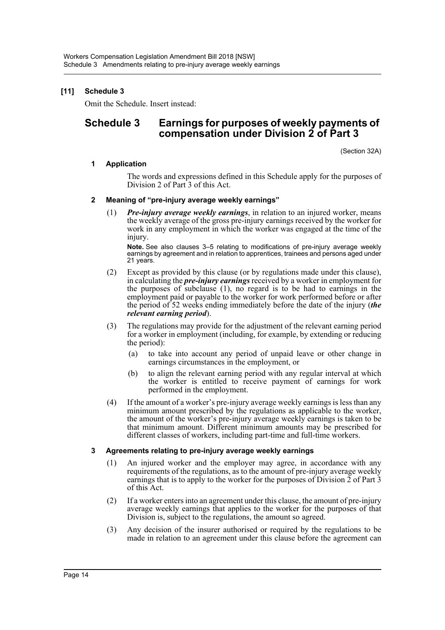## **[11] Schedule 3**

Omit the Schedule. Insert instead:

# **Schedule 3 Earnings for purposes of weekly payments of compensation under Division 2 of Part 3**

(Section 32A)

### **1 Application**

The words and expressions defined in this Schedule apply for the purposes of Division 2 of Part 3 of this Act.

### **2 Meaning of "pre-injury average weekly earnings"**

(1) *Pre-injury average weekly earnings*, in relation to an injured worker, means the weekly average of the gross pre-injury earnings received by the worker for work in any employment in which the worker was engaged at the time of the injury.

**Note.** See also clauses 3–5 relating to modifications of pre-injury average weekly earnings by agreement and in relation to apprentices, trainees and persons aged under 21 years.

- (2) Except as provided by this clause (or by regulations made under this clause), in calculating the *pre-injury earnings* received by a worker in employment for the purposes of subclause (1), no regard is to be had to earnings in the employment paid or payable to the worker for work performed before or after the period of 52 weeks ending immediately before the date of the injury (*the relevant earning period*).
- (3) The regulations may provide for the adjustment of the relevant earning period for a worker in employment (including, for example, by extending or reducing the period):
	- (a) to take into account any period of unpaid leave or other change in earnings circumstances in the employment, or
	- (b) to align the relevant earning period with any regular interval at which the worker is entitled to receive payment of earnings for work performed in the employment.
- (4) If the amount of a worker's pre-injury average weekly earnings is less than any minimum amount prescribed by the regulations as applicable to the worker, the amount of the worker's pre-injury average weekly earnings is taken to be that minimum amount. Different minimum amounts may be prescribed for different classes of workers, including part-time and full-time workers.

### **3 Agreements relating to pre-injury average weekly earnings**

- (1) An injured worker and the employer may agree, in accordance with any requirements of the regulations, as to the amount of pre-injury average weekly earnings that is to apply to the worker for the purposes of Division  $\overline{2}$  of Part 3 of this Act.
- (2) If a worker enters into an agreement under this clause, the amount of pre-injury average weekly earnings that applies to the worker for the purposes of that Division is, subject to the regulations, the amount so agreed.
- (3) Any decision of the insurer authorised or required by the regulations to be made in relation to an agreement under this clause before the agreement can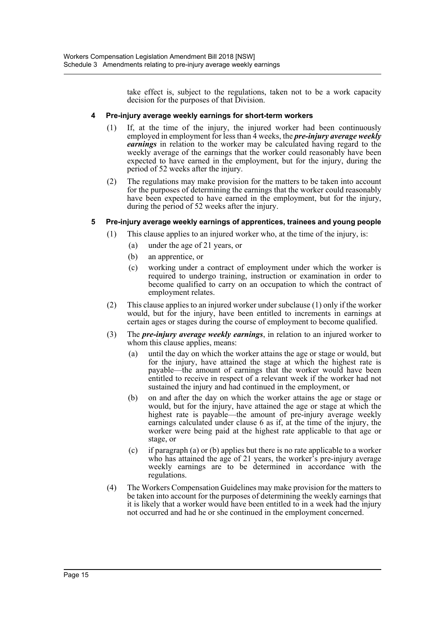take effect is, subject to the regulations, taken not to be a work capacity decision for the purposes of that Division.

### **4 Pre-injury average weekly earnings for short-term workers**

- (1) If, at the time of the injury, the injured worker had been continuously employed in employment for less than 4 weeks, the *pre-injury average weekly earnings* in relation to the worker may be calculated having regard to the weekly average of the earnings that the worker could reasonably have been expected to have earned in the employment, but for the injury, during the period of 52 weeks after the injury.
- (2) The regulations may make provision for the matters to be taken into account for the purposes of determining the earnings that the worker could reasonably have been expected to have earned in the employment, but for the injury, during the period of 52 weeks after the injury.

### **5 Pre-injury average weekly earnings of apprentices, trainees and young people**

- (1) This clause applies to an injured worker who, at the time of the injury, is:
	- (a) under the age of 21 years, or
	- (b) an apprentice, or
	- (c) working under a contract of employment under which the worker is required to undergo training, instruction or examination in order to become qualified to carry on an occupation to which the contract of employment relates.
- (2) This clause applies to an injured worker under subclause (1) only if the worker would, but for the injury, have been entitled to increments in earnings at certain ages or stages during the course of employment to become qualified.
- (3) The *pre-injury average weekly earnings*, in relation to an injured worker to whom this clause applies, means:
	- (a) until the day on which the worker attains the age or stage or would, but for the injury, have attained the stage at which the highest rate is payable—the amount of earnings that the worker would have been entitled to receive in respect of a relevant week if the worker had not sustained the injury and had continued in the employment, or
	- (b) on and after the day on which the worker attains the age or stage or would, but for the injury, have attained the age or stage at which the highest rate is payable—the amount of pre-injury average weekly earnings calculated under clause 6 as if, at the time of the injury, the worker were being paid at the highest rate applicable to that age or stage, or
	- (c) if paragraph (a) or (b) applies but there is no rate applicable to a worker who has attained the age of 21 years, the worker's pre-injury average weekly earnings are to be determined in accordance with the regulations.
- (4) The Workers Compensation Guidelines may make provision for the matters to be taken into account for the purposes of determining the weekly earnings that it is likely that a worker would have been entitled to in a week had the injury not occurred and had he or she continued in the employment concerned.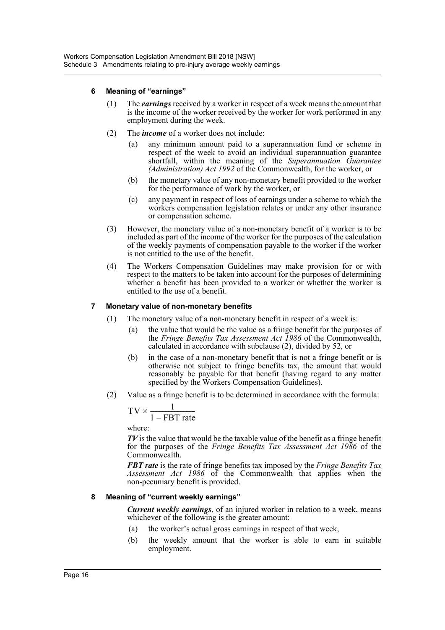### **6 Meaning of "earnings"**

- (1) The *earnings* received by a worker in respect of a week means the amount that is the income of the worker received by the worker for work performed in any employment during the week.
- (2) The *income* of a worker does not include:
	- (a) any minimum amount paid to a superannuation fund or scheme in respect of the week to avoid an individual superannuation guarantee shortfall, within the meaning of the *Superannuation Guarantee (Administration) Act 1992* of the Commonwealth, for the worker, or
	- (b) the monetary value of any non-monetary benefit provided to the worker for the performance of work by the worker, or
	- (c) any payment in respect of loss of earnings under a scheme to which the workers compensation legislation relates or under any other insurance or compensation scheme.
- (3) However, the monetary value of a non-monetary benefit of a worker is to be included as part of the income of the worker for the purposes of the calculation of the weekly payments of compensation payable to the worker if the worker is not entitled to the use of the benefit.
- (4) The Workers Compensation Guidelines may make provision for or with respect to the matters to be taken into account for the purposes of determining whether a benefit has been provided to a worker or whether the worker is entitled to the use of a benefit.

### **7 Monetary value of non-monetary benefits**

- (1) The monetary value of a non-monetary benefit in respect of a week is:
	- (a) the value that would be the value as a fringe benefit for the purposes of the *Fringe Benefits Tax Assessment Act 1986* of the Commonwealth, calculated in accordance with subclause (2), divided by 52, or
	- (b) in the case of a non-monetary benefit that is not a fringe benefit or is otherwise not subject to fringe benefits tax, the amount that would reasonably be payable for that benefit (having regard to any matter specified by the Workers Compensation Guidelines).
- (2) Value as a fringe benefit is to be determined in accordance with the formula:

$$
TV \times \frac{1}{1 - FBT \text{ rate}}
$$

where:

*TV* is the value that would be the taxable value of the benefit as a fringe benefit for the purposes of the *Fringe Benefits Tax Assessment Act 1986* of the Commonwealth.

*FBT rate* is the rate of fringe benefits tax imposed by the *Fringe Benefits Tax Assessment Act 1986* of the Commonwealth that applies when the non-pecuniary benefit is provided.

### **8 Meaning of "current weekly earnings"**

*Current weekly earnings*, of an injured worker in relation to a week, means whichever of the following is the greater amount:

- (a) the worker's actual gross earnings in respect of that week,
- (b) the weekly amount that the worker is able to earn in suitable employment.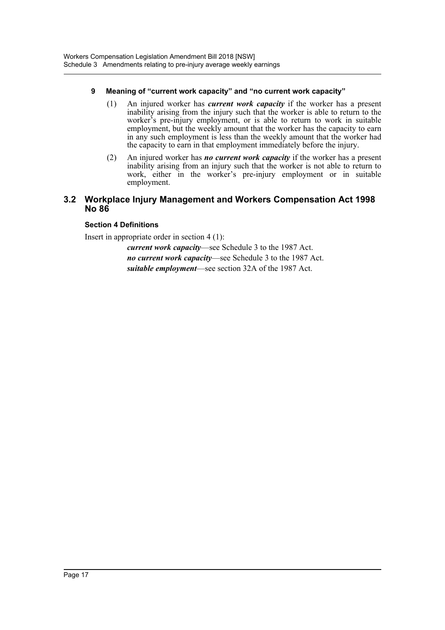### **9 Meaning of "current work capacity" and "no current work capacity"**

- (1) An injured worker has *current work capacity* if the worker has a present inability arising from the injury such that the worker is able to return to the worker's pre-injury employment, or is able to return to work in suitable employment, but the weekly amount that the worker has the capacity to earn in any such employment is less than the weekly amount that the worker had the capacity to earn in that employment immediately before the injury.
- (2) An injured worker has *no current work capacity* if the worker has a present inability arising from an injury such that the worker is not able to return to work, either in the worker's pre-injury employment or in suitable employment.

## **3.2 Workplace Injury Management and Workers Compensation Act 1998 No 86**

### **Section 4 Definitions**

Insert in appropriate order in section 4 (1):

*current work capacity*—see Schedule 3 to the 1987 Act. *no current work capacity*—see Schedule 3 to the 1987 Act. *suitable employment*—see section 32A of the 1987 Act.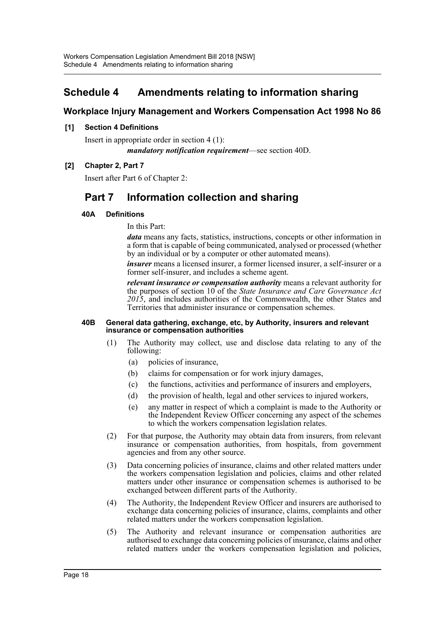# <span id="page-18-0"></span>**Schedule 4 Amendments relating to information sharing**

# **Workplace Injury Management and Workers Compensation Act 1998 No 86**

### **[1] Section 4 Definitions**

Insert in appropriate order in section 4 (1): *mandatory notification requirement*—see section 40D.

### **[2] Chapter 2, Part 7**

Insert after Part 6 of Chapter 2:

# **Part 7 Information collection and sharing**

### **40A Definitions**

In this Part:

*data* means any facts, statistics, instructions, concepts or other information in a form that is capable of being communicated, analysed or processed (whether by an individual or by a computer or other automated means).

*insurer* means a licensed insurer, a former licensed insurer, a self-insurer or a former self-insurer, and includes a scheme agent.

*relevant insurance or compensation authority* means a relevant authority for the purposes of section 10 of the *State Insurance and Care Governance Act 2015*, and includes authorities of the Commonwealth, the other States and Territories that administer insurance or compensation schemes.

#### **40B General data gathering, exchange, etc, by Authority, insurers and relevant insurance or compensation authorities**

- (1) The Authority may collect, use and disclose data relating to any of the following:
	- (a) policies of insurance,
	- (b) claims for compensation or for work injury damages,
	- (c) the functions, activities and performance of insurers and employers,
	- (d) the provision of health, legal and other services to injured workers,
	- (e) any matter in respect of which a complaint is made to the Authority or the Independent Review Officer concerning any aspect of the schemes to which the workers compensation legislation relates.
- (2) For that purpose, the Authority may obtain data from insurers, from relevant insurance or compensation authorities, from hospitals, from government agencies and from any other source.
- (3) Data concerning policies of insurance, claims and other related matters under the workers compensation legislation and policies, claims and other related matters under other insurance or compensation schemes is authorised to be exchanged between different parts of the Authority.
- (4) The Authority, the Independent Review Officer and insurers are authorised to exchange data concerning policies of insurance, claims, complaints and other related matters under the workers compensation legislation.
- (5) The Authority and relevant insurance or compensation authorities are authorised to exchange data concerning policies of insurance, claims and other related matters under the workers compensation legislation and policies,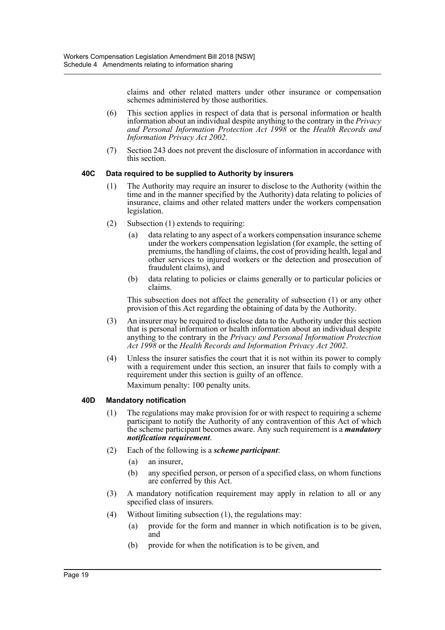claims and other related matters under other insurance or compensation schemes administered by those authorities.

- (6) This section applies in respect of data that is personal information or health information about an individual despite anything to the contrary in the *Privacy and Personal Information Protection Act 1998* or the *Health Records and Information Privacy Act 2002*.
- (7) Section 243 does not prevent the disclosure of information in accordance with this section.

### **40C Data required to be supplied to Authority by insurers**

- (1) The Authority may require an insurer to disclose to the Authority (within the time and in the manner specified by the Authority) data relating to policies of insurance, claims and other related matters under the workers compensation legislation.
- (2) Subsection (1) extends to requiring:
	- (a) data relating to any aspect of a workers compensation insurance scheme under the workers compensation legislation (for example, the setting of premiums, the handling of claims, the cost of providing health, legal and other services to injured workers or the detection and prosecution of fraudulent claims), and
	- (b) data relating to policies or claims generally or to particular policies or claims.

This subsection does not affect the generality of subsection (1) or any other provision of this Act regarding the obtaining of data by the Authority.

- (3) An insurer may be required to disclose data to the Authority under this section that is personal information or health information about an individual despite anything to the contrary in the *Privacy and Personal Information Protection Act 1998* or the *Health Records and Information Privacy Act 2002*.
- (4) Unless the insurer satisfies the court that it is not within its power to comply with a requirement under this section, an insurer that fails to comply with a requirement under this section is guilty of an offence. Maximum penalty: 100 penalty units.

### **40D Mandatory notification**

- (1) The regulations may make provision for or with respect to requiring a scheme participant to notify the Authority of any contravention of this Act of which the scheme participant becomes aware. Any such requirement is a *mandatory notification requirement*.
- (2) Each of the following is a *scheme participant*:
	- (a) an insurer,
	- (b) any specified person, or person of a specified class, on whom functions are conferred by this Act.
- (3) A mandatory notification requirement may apply in relation to all or any specified class of insurers.
- (4) Without limiting subsection (1), the regulations may:
	- (a) provide for the form and manner in which notification is to be given, and
	- (b) provide for when the notification is to be given, and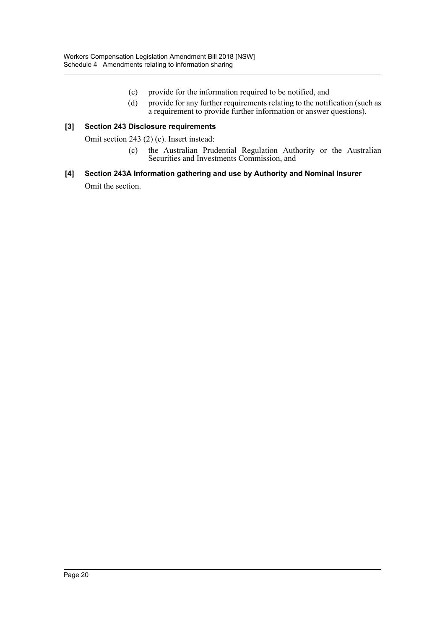- (c) provide for the information required to be notified, and
- (d) provide for any further requirements relating to the notification (such as a requirement to provide further information or answer questions).

### **[3] Section 243 Disclosure requirements**

Omit section 243 (2) (c). Insert instead:

(c) the Australian Prudential Regulation Authority or the Australian Securities and Investments Commission, and

# **[4] Section 243A Information gathering and use by Authority and Nominal Insurer**

Omit the section.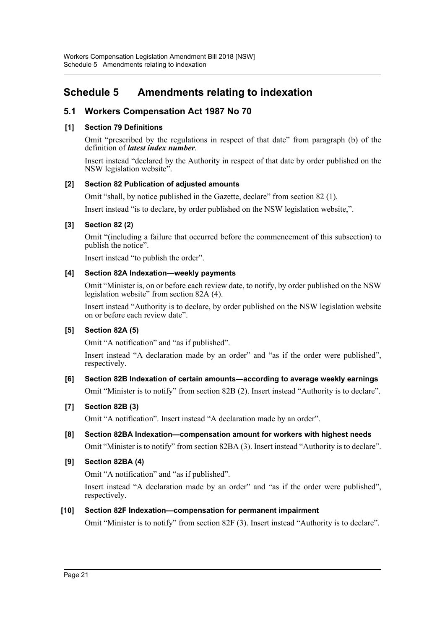# <span id="page-21-0"></span>**Schedule 5 Amendments relating to indexation**

# **5.1 Workers Compensation Act 1987 No 70**

## **[1] Section 79 Definitions**

Omit "prescribed by the regulations in respect of that date" from paragraph (b) of the definition of *latest index number*.

Insert instead "declared by the Authority in respect of that date by order published on the NSW legislation website".

## **[2] Section 82 Publication of adjusted amounts**

Omit "shall, by notice published in the Gazette, declare" from section 82 (1).

Insert instead "is to declare, by order published on the NSW legislation website,".

## **[3] Section 82 (2)**

Omit "(including a failure that occurred before the commencement of this subsection) to publish the notice".

Insert instead "to publish the order".

## **[4] Section 82A Indexation—weekly payments**

Omit "Minister is, on or before each review date, to notify, by order published on the NSW legislation website" from section 82A (4).

Insert instead "Authority is to declare, by order published on the NSW legislation website on or before each review date".

# **[5] Section 82A (5)**

Omit "A notification" and "as if published".

Insert instead "A declaration made by an order" and "as if the order were published", respectively.

# **[6] Section 82B Indexation of certain amounts—according to average weekly earnings** Omit "Minister is to notify" from section 82B (2). Insert instead "Authority is to declare".

### **[7] Section 82B (3)**

Omit "A notification". Insert instead "A declaration made by an order".

# **[8] Section 82BA Indexation—compensation amount for workers with highest needs** Omit "Minister is to notify" from section 82BA (3). Insert instead "Authority is to declare".

### **[9] Section 82BA (4)**

Omit "A notification" and "as if published".

Insert instead "A declaration made by an order" and "as if the order were published", respectively.

# **[10] Section 82F Indexation—compensation for permanent impairment**

Omit "Minister is to notify" from section 82F (3). Insert instead "Authority is to declare".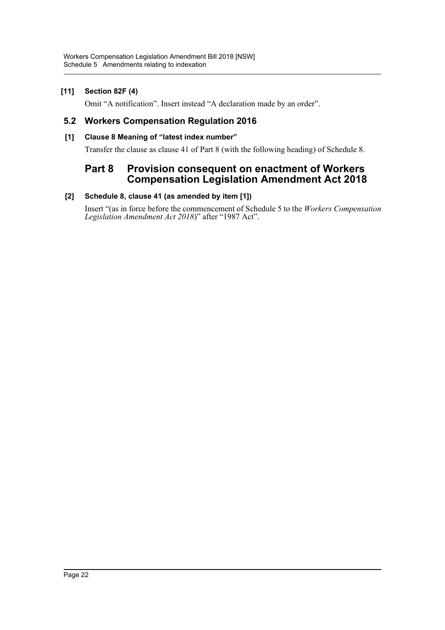## **[11] Section 82F (4)**

Omit "A notification". Insert instead "A declaration made by an order".

# **5.2 Workers Compensation Regulation 2016**

### **[1] Clause 8 Meaning of "latest index number"**

Transfer the clause as clause 41 of Part 8 (with the following heading) of Schedule 8.

# **Part 8 Provision consequent on enactment of Workers Compensation Legislation Amendment Act 2018**

### **[2] Schedule 8, clause 41 (as amended by item [1])**

Insert "(as in force before the commencement of Schedule 5 to the *Workers Compensation Legislation Amendment Act 2018*)" after "1987 Act".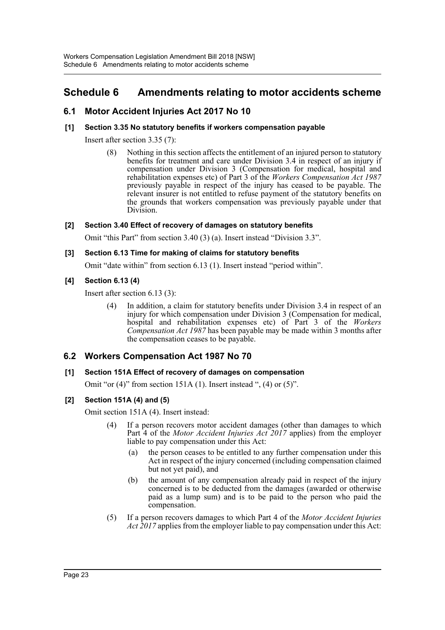# <span id="page-23-0"></span>**Schedule 6 Amendments relating to motor accidents scheme**

# **6.1 Motor Accident Injuries Act 2017 No 10**

### **[1] Section 3.35 No statutory benefits if workers compensation payable**

Insert after section 3.35 (7):

(8) Nothing in this section affects the entitlement of an injured person to statutory benefits for treatment and care under Division 3.4 in respect of an injury if compensation under Division 3 (Compensation for medical, hospital and rehabilitation expenses etc) of Part 3 of the *Workers Compensation Act 1987* previously payable in respect of the injury has ceased to be payable. The relevant insurer is not entitled to refuse payment of the statutory benefits on the grounds that workers compensation was previously payable under that Division.

### **[2] Section 3.40 Effect of recovery of damages on statutory benefits**

Omit "this Part" from section 3.40 (3) (a). Insert instead "Division 3.3".

### **[3] Section 6.13 Time for making of claims for statutory benefits**

Omit "date within" from section 6.13 (1). Insert instead "period within".

### **[4] Section 6.13 (4)**

Insert after section 6.13 (3):

(4) In addition, a claim for statutory benefits under Division 3.4 in respect of an injury for which compensation under Division 3 (Compensation for medical, hospital and rehabilitation expenses etc) of Part 3 of the *Workers Compensation Act 1987* has been payable may be made within 3 months after the compensation ceases to be payable.

# **6.2 Workers Compensation Act 1987 No 70**

### **[1] Section 151A Effect of recovery of damages on compensation**

Omit "or  $(4)$ " from section 151A  $(1)$ . Insert instead ",  $(4)$  or  $(5)$ ".

### **[2] Section 151A (4) and (5)**

Omit section 151A (4). Insert instead:

- (4) If a person recovers motor accident damages (other than damages to which Part 4 of the *Motor Accident Injuries Act 2017* applies) from the employer liable to pay compensation under this Act:
	- (a) the person ceases to be entitled to any further compensation under this Act in respect of the injury concerned (including compensation claimed but not yet paid), and
	- (b) the amount of any compensation already paid in respect of the injury concerned is to be deducted from the damages (awarded or otherwise paid as a lump sum) and is to be paid to the person who paid the compensation.
- (5) If a person recovers damages to which Part 4 of the *Motor Accident Injuries Act 2017* applies from the employer liable to pay compensation under this Act: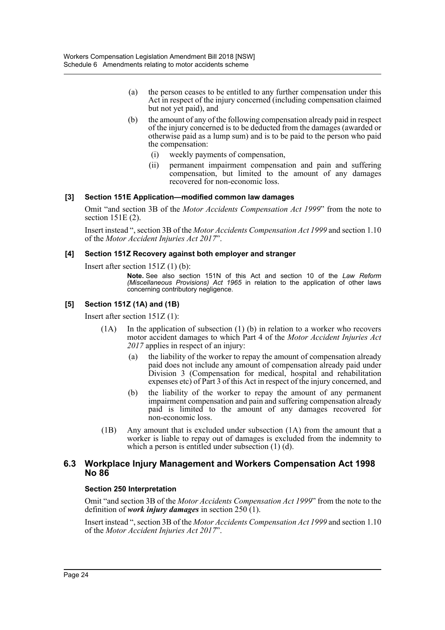- (a) the person ceases to be entitled to any further compensation under this Act in respect of the injury concerned (including compensation claimed but not yet paid), and
- (b) the amount of any of the following compensation already paid in respect of the injury concerned is to be deducted from the damages (awarded or otherwise paid as a lump sum) and is to be paid to the person who paid the compensation:
	- (i) weekly payments of compensation,
	- (ii) permanent impairment compensation and pain and suffering compensation, but limited to the amount of any damages recovered for non-economic loss.

### **[3] Section 151E Application—modified common law damages**

Omit "and section 3B of the *Motor Accidents Compensation Act 1999*" from the note to section 151E (2).

Insert instead ", section 3B of the *Motor Accidents Compensation Act 1999* and section 1.10 of the *Motor Accident Injuries Act 2017*".

### **[4] Section 151Z Recovery against both employer and stranger**

Insert after section 151Z (1) (b):

**Note.** See also section 151N of this Act and section 10 of the *Law Reform (Miscellaneous Provisions) Act 1965* in relation to the application of other laws concerning contributory negligence.

### **[5] Section 151Z (1A) and (1B)**

Insert after section 151Z (1):

- (1A) In the application of subsection (1) (b) in relation to a worker who recovers motor accident damages to which Part 4 of the *Motor Accident Injuries Act 2017* applies in respect of an injury:
	- (a) the liability of the worker to repay the amount of compensation already paid does not include any amount of compensation already paid under Division 3 (Compensation for medical, hospital and rehabilitation expenses etc) of Part 3 of this Act in respect of the injury concerned, and
	- (b) the liability of the worker to repay the amount of any permanent impairment compensation and pain and suffering compensation already paid is limited to the amount of any damages recovered for non-economic loss.
- (1B) Any amount that is excluded under subsection (1A) from the amount that a worker is liable to repay out of damages is excluded from the indemnity to which a person is entitled under subsection (1) (d).

### **6.3 Workplace Injury Management and Workers Compensation Act 1998 No 86**

### **Section 250 Interpretation**

Omit "and section 3B of the *Motor Accidents Compensation Act 1999*" from the note to the definition of *work injury damages* in section 250 (1).

Insert instead ", section 3B of the *Motor Accidents Compensation Act 1999* and section 1.10 of the *Motor Accident Injuries Act 2017*".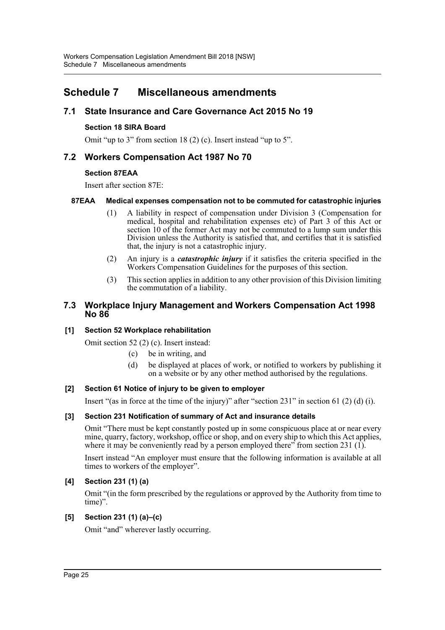# <span id="page-25-0"></span>**Schedule 7 Miscellaneous amendments**

# **7.1 State Insurance and Care Governance Act 2015 No 19**

### **Section 18 SIRA Board**

Omit "up to 3" from section 18 (2) (c). Insert instead "up to 5".

# **7.2 Workers Compensation Act 1987 No 70**

### **Section 87EAA**

Insert after section 87E:

### **87EAA Medical expenses compensation not to be commuted for catastrophic injuries**

- (1) A liability in respect of compensation under Division 3 (Compensation for medical, hospital and rehabilitation expenses etc) of Part 3 of this Act or section 10 of the former Act may not be commuted to a lump sum under this Division unless the Authority is satisfied that, and certifies that it is satisfied that, the injury is not a catastrophic injury.
- (2) An injury is a *catastrophic injury* if it satisfies the criteria specified in the Workers Compensation Guidelines for the purposes of this section.
- (3) This section applies in addition to any other provision of this Division limiting the commutation of a liability.

## **7.3 Workplace Injury Management and Workers Compensation Act 1998 No 86**

### **[1] Section 52 Workplace rehabilitation**

Omit section 52 (2) (c). Insert instead:

- (c) be in writing, and
- (d) be displayed at places of work, or notified to workers by publishing it on a website or by any other method authorised by the regulations.

### **[2] Section 61 Notice of injury to be given to employer**

Insert "(as in force at the time of the injury)" after "section 231" in section 61 (2) (d) (i).

### **[3] Section 231 Notification of summary of Act and insurance details**

Omit "There must be kept constantly posted up in some conspicuous place at or near every mine, quarry, factory, workshop, office or shop, and on every ship to which this Act applies, where it may be conveniently read by a person employed there" from section 231 (1).

Insert instead "An employer must ensure that the following information is available at all times to workers of the employer".

### **[4] Section 231 (1) (a)**

Omit "(in the form prescribed by the regulations or approved by the Authority from time to time)".

### **[5] Section 231 (1) (a)–(c)**

Omit "and" wherever lastly occurring.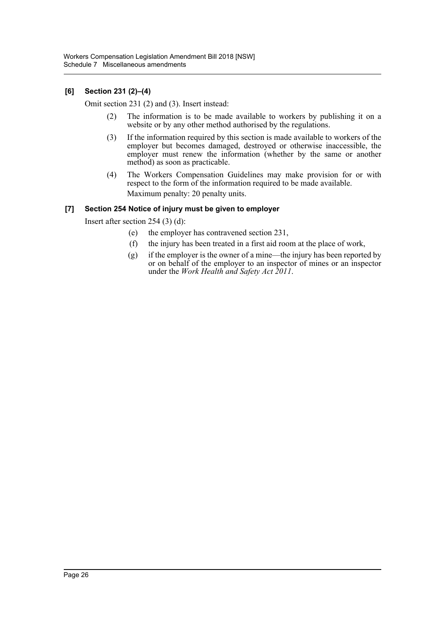## **[6] Section 231 (2)–(4)**

Omit section 231 (2) and (3). Insert instead:

- (2) The information is to be made available to workers by publishing it on a website or by any other method authorised by the regulations.
- (3) If the information required by this section is made available to workers of the employer but becomes damaged, destroyed or otherwise inaccessible, the employer must renew the information (whether by the same or another method) as soon as practicable.
- (4) The Workers Compensation Guidelines may make provision for or with respect to the form of the information required to be made available. Maximum penalty: 20 penalty units.

### **[7] Section 254 Notice of injury must be given to employer**

Insert after section 254 (3) (d):

- (e) the employer has contravened section 231,
- (f) the injury has been treated in a first aid room at the place of work,
- (g) if the employer is the owner of a mine—the injury has been reported by or on behalf of the employer to an inspector of mines or an inspector under the *Work Health and Safety Act 2011*.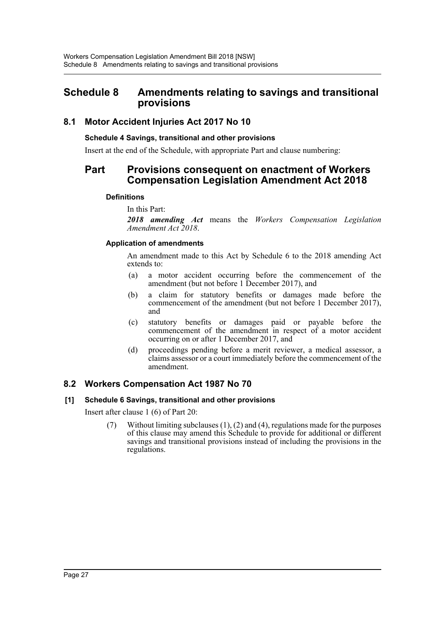# <span id="page-27-0"></span>**Schedule 8 Amendments relating to savings and transitional provisions**

# **8.1 Motor Accident Injuries Act 2017 No 10**

### **Schedule 4 Savings, transitional and other provisions**

Insert at the end of the Schedule, with appropriate Part and clause numbering:

# **Part Provisions consequent on enactment of Workers Compensation Legislation Amendment Act 2018**

### **Definitions**

In this Part:

*2018 amending Act* means the *Workers Compensation Legislation Amendment Act 2018*.

### **Application of amendments**

An amendment made to this Act by Schedule 6 to the 2018 amending Act extends to:

- (a) a motor accident occurring before the commencement of the amendment (but not before 1 December 2017), and
- (b) a claim for statutory benefits or damages made before the commencement of the amendment (but not before 1 December 2017), and
- (c) statutory benefits or damages paid or payable before the commencement of the amendment in respect of a motor accident occurring on or after 1 December 2017, and
- (d) proceedings pending before a merit reviewer, a medical assessor, a claims assessor or a court immediately before the commencement of the amendment.

# **8.2 Workers Compensation Act 1987 No 70**

### **[1] Schedule 6 Savings, transitional and other provisions**

Insert after clause 1 (6) of Part 20:

(7) Without limiting subclauses (1), (2) and (4), regulations made for the purposes of this clause may amend this Schedule to provide for additional or different savings and transitional provisions instead of including the provisions in the regulations.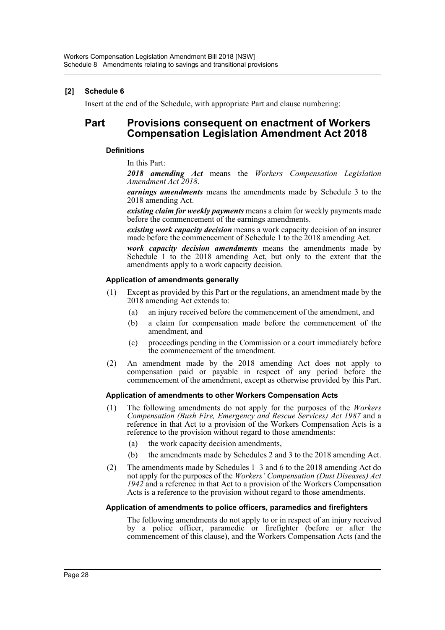### **[2] Schedule 6**

Insert at the end of the Schedule, with appropriate Part and clause numbering:

# **Part Provisions consequent on enactment of Workers Compensation Legislation Amendment Act 2018**

### **Definitions**

In this Part:

*2018 amending Act* means the *Workers Compensation Legislation Amendment Act 2018*.

*earnings amendments* means the amendments made by Schedule 3 to the 2018 amending Act.

*existing claim for weekly payments* means a claim for weekly payments made before the commencement of the earnings amendments.

*existing work capacity decision* means a work capacity decision of an insurer made before the commencement of Schedule 1 to the 2018 amending Act.

*work capacity decision amendments* means the amendments made by Schedule 1 to the 2018 amending Act, but only to the extent that the amendments apply to a work capacity decision.

### **Application of amendments generally**

- (1) Except as provided by this Part or the regulations, an amendment made by the 2018 amending Act extends to:
	- (a) an injury received before the commencement of the amendment, and
	- (b) a claim for compensation made before the commencement of the amendment, and
	- (c) proceedings pending in the Commission or a court immediately before the commencement of the amendment.
- (2) An amendment made by the 2018 amending Act does not apply to compensation paid or payable in respect of any period before the commencement of the amendment, except as otherwise provided by this Part.

### **Application of amendments to other Workers Compensation Acts**

- (1) The following amendments do not apply for the purposes of the *Workers Compensation (Bush Fire, Emergency and Rescue Services) Act 1987* and a reference in that Act to a provision of the Workers Compensation Acts is a reference to the provision without regard to those amendments:
	- (a) the work capacity decision amendments,
	- (b) the amendments made by Schedules 2 and 3 to the 2018 amending Act.
- (2) The amendments made by Schedules 1–3 and 6 to the 2018 amending Act do not apply for the purposes of the *Workers' Compensation (Dust Diseases) Act 1942* and a reference in that Act to a provision of the Workers Compensation Acts is a reference to the provision without regard to those amendments.

### **Application of amendments to police officers, paramedics and firefighters**

The following amendments do not apply to or in respect of an injury received by a police officer, paramedic or firefighter (before or after the commencement of this clause), and the Workers Compensation Acts (and the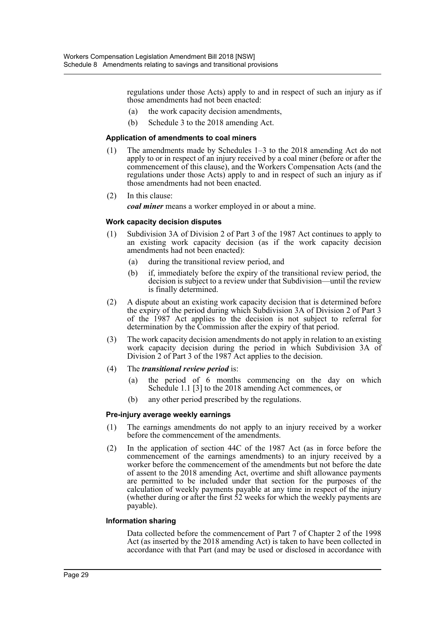regulations under those Acts) apply to and in respect of such an injury as if those amendments had not been enacted:

- (a) the work capacity decision amendments,
- (b) Schedule 3 to the 2018 amending Act.

### **Application of amendments to coal miners**

- (1) The amendments made by Schedules 1–3 to the 2018 amending Act do not apply to or in respect of an injury received by a coal miner (before or after the commencement of this clause), and the Workers Compensation Acts (and the regulations under those Acts) apply to and in respect of such an injury as if those amendments had not been enacted.
- (2) In this clause:

*coal miner* means a worker employed in or about a mine.

### **Work capacity decision disputes**

- (1) Subdivision 3A of Division 2 of Part 3 of the 1987 Act continues to apply to an existing work capacity decision (as if the work capacity decision amendments had not been enacted):
	- (a) during the transitional review period, and
	- (b) if, immediately before the expiry of the transitional review period, the decision is subject to a review under that Subdivision—until the review is finally determined.
- (2) A dispute about an existing work capacity decision that is determined before the expiry of the period during which Subdivision 3A of Division 2 of Part 3 of the 1987 Act applies to the decision is not subject to referral for determination by the Commission after the expiry of that period.
- (3) The work capacity decision amendments do not apply in relation to an existing work capacity decision during the period in which Subdivision 3A of Division 2 of Part 3 of the 1987 Act applies to the decision.
- (4) The *transitional review period* is:
	- (a) the period of 6 months commencing on the day on which Schedule 1.1 [3] to the 2018 amending Act commences, or
	- (b) any other period prescribed by the regulations.

### **Pre-injury average weekly earnings**

- (1) The earnings amendments do not apply to an injury received by a worker before the commencement of the amendments.
- (2) In the application of section 44C of the 1987 Act (as in force before the commencement of the earnings amendments) to an injury received by a worker before the commencement of the amendments but not before the date of assent to the 2018 amending Act, overtime and shift allowance payments are permitted to be included under that section for the purposes of the calculation of weekly payments payable at any time in respect of the injury (whether during or after the first 52 weeks for which the weekly payments are payable).

### **Information sharing**

Data collected before the commencement of Part 7 of Chapter 2 of the 1998 Act (as inserted by the 2018 amending Act) is taken to have been collected in accordance with that Part (and may be used or disclosed in accordance with